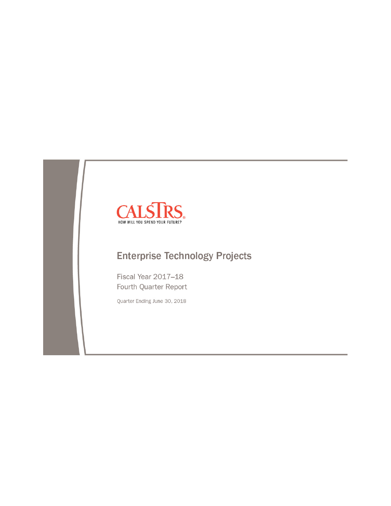

# **Enterprise Technology Projects**

Fiscal Year 2017-18 Fourth Quarter Report

Quarter Ending June 30, 2018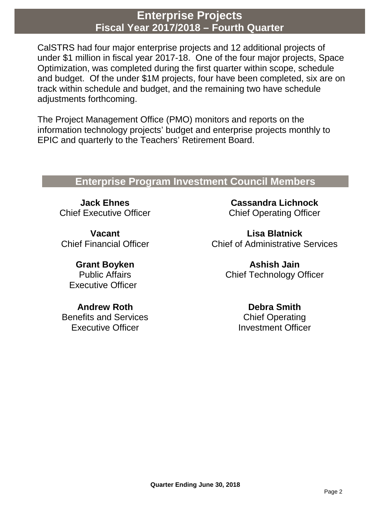# **Enterprise Projects Fiscal Year 2017/2018 – Fourth Quarter**

CalSTRS had four major enterprise projects and 12 additional projects of under \$1 million in fiscal year 2017-18. One of the four major projects, Space Optimization, was completed during the first quarter within scope, schedule and budget. Of the under \$1M projects, four have been completed, six are on track within schedule and budget, and the remaining two have schedule adjustments forthcoming.

The Project Management Office (PMO) monitors and reports on the information technology projects' budget and enterprise projects monthly to EPIC and quarterly to the Teachers' Retirement Board.

# **Enterprise Program Investment Council Members**

**Jack Ehnes** Chief Executive Officer

**Vacant** Chief Financial Officer

**Grant Boyken** Public Affairs Executive Officer

**Andrew Roth** Benefits and Services Executive Officer

**Cassandra Lichnock** Chief Operating Officer

**Lisa Blatnick** Chief of Administrative Services

> **Ashish Jain** Chief Technology Officer

> > **Debra Smith** Chief Operating Investment Officer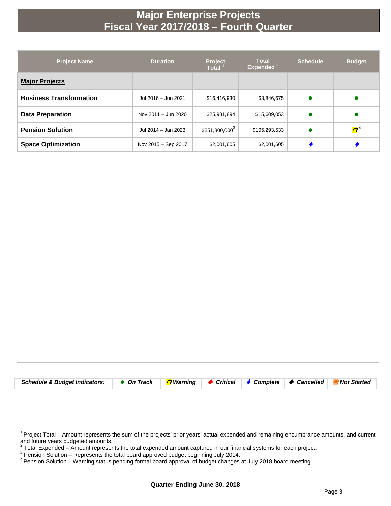# **Major Enterprise Projects Fiscal Year 2017/2018 – Fourth Quarter**

| <b>Project Name</b>            | <b>Duration</b>     | <b>Project</b><br><b>Total</b> | <b>Total</b><br>Expended <sup>2</sup> | <b>Schedule</b> | <b>Budget</b>           |
|--------------------------------|---------------------|--------------------------------|---------------------------------------|-----------------|-------------------------|
| <b>Major Projects</b>          |                     |                                |                                       |                 |                         |
| <b>Business Transformation</b> | Jul 2016 - Jun 2021 | \$16,416,930                   | \$3,846,675                           | $\bullet$       |                         |
| <b>Data Preparation</b>        | Nov 2011 - Jun 2020 | \$25,981,894                   | \$15,609,053                          | $\bullet$       |                         |
| <b>Pension Solution</b>        | Jul 2014 - Jan 2023 | $$251,800,000^3$               | \$105,293,533                         | $\bullet$       | $\boldsymbol{\varPi}^4$ |
| <b>Space Optimization</b>      | Nov 2015 - Sep 2017 | \$2,001,605                    | \$2,001,605                           |                 |                         |

| Schedule & Budget Indicators: ● On Track <mark>□</mark> Warning ◆ Critical ◆ Complete → Cancelled EN Not Started |  |  |  |
|------------------------------------------------------------------------------------------------------------------|--|--|--|

 $1$  Project Total – Amount represents the sum of the projects' prior years' actual expended and remaining encumbrance amounts, and current and future years budgeted amounts.

<sup>&</sup>lt;sup>2</sup> Total Expended – Amount represents the total expended amount captured in our financial systems for each project.<br><sup>3</sup> Pension Solution – Represents the total board approved budget beginning July 2014.<br><sup>4</sup> Pension Soluti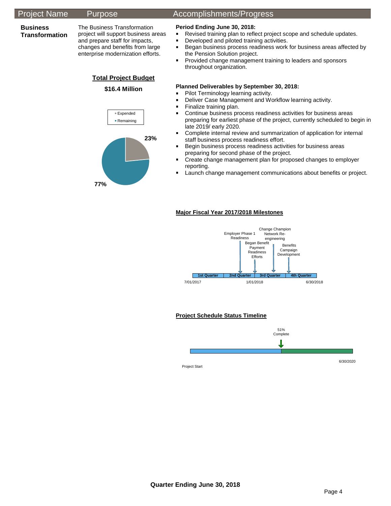#### Project Name Purpose Accomplishments/Progress **Business Transformation**  The Business Transformation project will support business areas and prepare staff for impacts, changes and benefits from large enterprise modernization efforts. **Total Project Budget \$16.4 Million Period Ending June 30, 2018: Revised training plan to reflect project scope and schedule updates. •** Developed and piloted training activities. **Began business process readiness work for business areas affected by** the Pension Solution project. **Provided change management training to leaders and sponsors** throughout organization. **Planned Deliverables by September 30, 2018: Pilot Terminology learning activity. -** Deliver Case Management and Workflow learning activity. **Finalize training plan.**  Continue business process readiness activities for business areas preparing for earliest phase of the project, currently scheduled to begin in late 2019/ early 2020. Complete internal review and summarization of application for internal staff business process readiness effort. **Begin business process readiness activities for business areas** preparing for second phase of the project. **EXP** Create change management plan for proposed changes to employer reporting. **Launch change management communications about benefits or project. Major Fiscal Year 2017/2018 Milestones 1st Quarter 2nd Quarter 3rd Quarter 4th Quarter** 7/01/2017 1/01/2018 6/30/2018 Change Champion Network Reengineering Employer Phase 1 Readiness Began Benefit Payment Readiness Efforts Benefits Campaign Development **23% 77%** Expended **Remaining**

#### **Project Schedule Status Timeline**



Project Start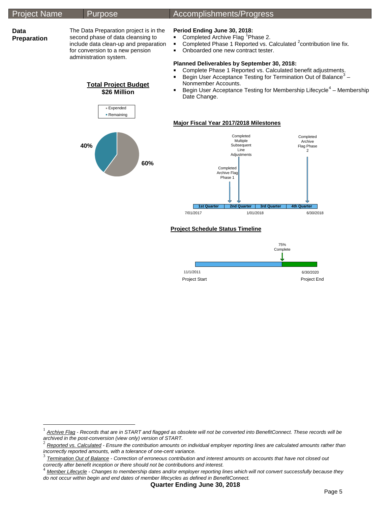#### Project Name Purpose Accomplishments/Progress **Data Preparation** The Data Preparation project is in the second phase of data cleansing to include data clean-up and preparation for conversion to a new pension administration system. **Total Project Budget \$26 Million Period Ending June 30, 2018: Completed Archive Flag <sup>[1](#page-4-0)</sup> Phase 2.** Completed Phase 1 Reported vs. Calculated  $2$  contribution line fix. • Onboarded one new contract tester. **Planned Deliverables by September 30, 2018: Complete Phase 1 Reported vs. Calculated benefit adjustments. Begin User Acceptance Testing for Termination Out of Balance**<sup>[3](#page-4-2)</sup> -Nonmember Accounts. Begin User Acceptance Testing for Membership Lifecycle $4$  – Membership Date Change. **Major Fiscal Year 2017/2018 Milestones** Completed Archive Flag Phase 2 Completed Multiple **Subsequent** Line **40%** Expended **Remaining**

**60%**

**1st Quarter 2nd Quarter 3rd Quarter 4th Quarter** 7/01/2017 1/01/2018 6/30/2018

Project Start **Project End** 

75% **Complete** 

6/30/2020

Completed Archive Flag<br>Phase 1

**Project Schedule Status Timeline** 

11/1/2011

**Adjustments** 

<span id="page-4-0"></span><sup>&</sup>lt;sup>1</sup> Archive Flag - Records that are in START and flagged as obsolete will not be converted into BenefitConnect. These records will be archived in the post-conversion (view only) version of START.

<span id="page-4-1"></span>Reported vs. Calculated - Ensure the contribution amounts on individual employer reporting lines are calculated amounts rather than

<span id="page-4-2"></span>incorrectly reported amounts, with a tolerance of one-cent variance.<br><sup>3</sup> <u>Termination Out of Balance</u> - Correction of erroneous contribution and interest amounts on accounts that have not closed out<br>correctly after benefit

<span id="page-4-3"></span>Member Lifecycle - Changes to membership dates and/or employer reporting lines which will not convert successfully because they *do not occur within begin and end dates of member lifecycles as defined in BenefitConnect.*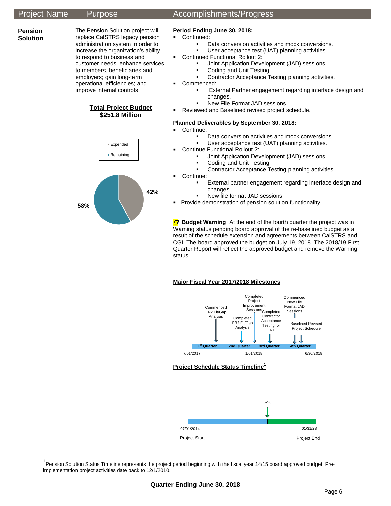**Pension Solution**

#### The Pension Solution project will replace CalSTRS legacy pension administration system in order to increase the organization's ability to respond to business and customer needs; enhance services to members, beneficiaries and employers; gain long-term operational efficiencies; and improve internal controls.





## Project Name Purpose Accomplishments/Progress

### **Period Ending June 30, 2018:**

- **Continued:** 
	- Data conversion activities and mock conversions.
	- User acceptance test (UAT) planning activities.
- Continued Functional Rollout 2:
	- Joint Application Development (JAD) sessions.
	- Coding and Unit Testing.
	- Contractor Acceptance Testing planning activities.
	- Commenced:
		- External Partner engagement regarding interface design and changes.
			- New File Format JAD sessions.
- Reviewed and Baselined revised project schedule.

#### **Planned Deliverables by September 30, 2018:**

- Continue:
	- Data conversion activities and mock conversions.
		- User acceptance test (UAT) planning activities.
- **Continue Functional Rollout 2:** 
	- Joint Application Development (JAD) sessions.
	- Coding and Unit Testing.
	- Contractor Acceptance Testing planning activities.
- **Continue:** 
	- External partner engagement regarding interface design and changes.
	- New file format JAD sessions.
- **Provide demonstration of pension solution functionality.**

**D** Budget Warning: At the end of the fourth quarter the project was in Warning status pending board approval of the re-baselined budget as a result of the schedule extension and agreements between CalSTRS and CGI. The board approved the budget on July 19, 2018. The 2018/19 First Quarter Report will reflect the approved budget and remove the Warning status.

#### **Major Fiscal Year 2017/2018 Milestones**



#### **Project Schedule Status Timeline<sup>1</sup>**



<sup>1</sup> Pension Solution Status Timeline represents the project period beginning with the fiscal year 14/15 board approved budget. Preimplementation project activities date back to 12/1/2010.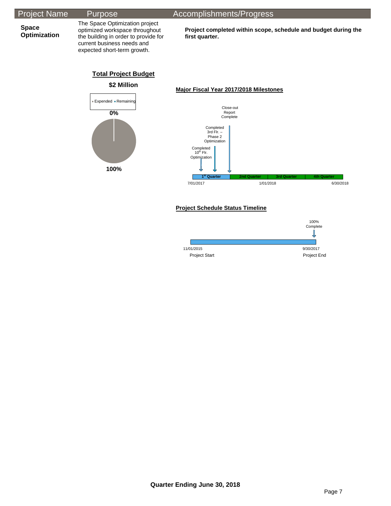| <b>Project Name</b> | Purp |
|---------------------|------|
|---------------------|------|

**Space Optimization** The Space Optimization project optimized workspace throughout the building in order to provide for current business needs and expected short-term growth.

ose Accomplishments/Progress

**Project completed within scope, schedule and budget during the first quarter.**

## **Total Project Budget**



#### **Major Fiscal Year 2017/2018 Milestones**



### **Project Schedule Status Timeline**

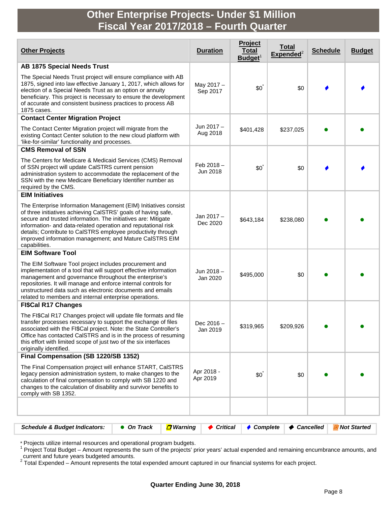# **Other Enterprise Projects- Under \$1 Million Fiscal Year 2017/2018 – Fourth Quarter**

| <b>Other Projects</b>                                                                                                                                                                                                                                                                                                                                                                                          | <b>Duration</b>          | Project<br>Total<br>$B$ udget $1$ | <u>Total</u><br>${\sf Expected}^2$ | <b>Schedule</b> | <b>Budget</b> |
|----------------------------------------------------------------------------------------------------------------------------------------------------------------------------------------------------------------------------------------------------------------------------------------------------------------------------------------------------------------------------------------------------------------|--------------------------|-----------------------------------|------------------------------------|-----------------|---------------|
| <b>AB 1875 Special Needs Trust</b>                                                                                                                                                                                                                                                                                                                                                                             |                          |                                   |                                    |                 |               |
| The Special Needs Trust project will ensure compliance with AB<br>1875, signed into law effective January 1, 2017, which allows for<br>election of a Special Needs Trust as an option or annuity<br>beneficiary. This project is necessary to ensure the development<br>of accurate and consistent business practices to process AB<br>1875 cases.                                                             | May 2017 -<br>Sep 2017   | $$0^{\degree}$                    | \$0                                |                 |               |
| <b>Contact Center Migration Project</b>                                                                                                                                                                                                                                                                                                                                                                        |                          |                                   |                                    |                 |               |
| The Contact Center Migration project will migrate from the<br>existing Contact Center solution to the new cloud platform with<br>'like-for-similar' functionality and processes.                                                                                                                                                                                                                               | Jun 2017 -<br>Aug 2018   | \$401,428                         | \$237,025                          |                 |               |
| <b>CMS Removal of SSN</b>                                                                                                                                                                                                                                                                                                                                                                                      |                          |                                   |                                    |                 |               |
| The Centers for Medicare & Medicaid Services (CMS) Removal<br>of SSN project will update CalSTRS current pension<br>administration system to accommodate the replacement of the<br>SSN with the new Medicare Beneficiary Identifier number as<br>required by the CMS.                                                                                                                                          | Feb $2018 -$<br>Jun 2018 | $$0^{\degree}$                    | \$0                                |                 |               |
| <b>EIM Initiatives</b>                                                                                                                                                                                                                                                                                                                                                                                         |                          |                                   |                                    |                 |               |
| The Enterprise Information Management (EIM) Initiatives consist<br>of three initiatives achieving CalSTRS' goals of having safe,<br>secure and trusted information. The initiatives are: Mitigate<br>information- and data-related operation and reputational risk<br>details; Contribute to CalSTRS employee productivity through<br>improved information management; and Mature CalSTRS EIM<br>capabilities. | Jan 2017-<br>Dec 2020    | \$643,184                         | \$238,080                          |                 |               |
| <b>EIM Software Tool</b>                                                                                                                                                                                                                                                                                                                                                                                       |                          |                                   |                                    |                 |               |
| The EIM Software Tool project includes procurement and<br>implementation of a tool that will support effective information<br>management and governance throughout the enterprise's<br>repositories. It will manage and enforce internal controls for<br>unstructured data such as electronic documents and emails<br>related to members and internal enterprise operations.                                   | Jun 2018-<br>Jan 2020    | \$495,000                         | \$0                                |                 |               |
| <b>FI\$Cal R17 Changes</b>                                                                                                                                                                                                                                                                                                                                                                                     |                          |                                   |                                    |                 |               |
| The FI\$Cal R17 Changes project will update file formats and file<br>transfer processes necessary to support the exchange of files<br>associated with the FI\$Cal project. Note: the State Controller's<br>Office has contacted CaISTRS and is in the process of resuming<br>this effort with limited scope of just two of the six interfaces<br>originally identified.                                        | Dec 2016 -<br>Jan 2019   | \$319,965                         | \$209,926                          |                 |               |
| Final Compensation (SB 1220/SB 1352)                                                                                                                                                                                                                                                                                                                                                                           |                          |                                   |                                    |                 |               |
| The Final Compensation project will enhance START, CalSTRS<br>legacy pension administration system, to make changes to the<br>calculation of final compensation to comply with SB 1220 and<br>changes to the calculation of disability and survivor benefits to<br>comply with SB 1352.                                                                                                                        | Apr 2018 -<br>Apr 2019   | $$0^{\degree}$                    | \$0                                |                 |               |
|                                                                                                                                                                                                                                                                                                                                                                                                                |                          |                                   |                                    |                 |               |

| Schedule & Budget Indicators: $\bullet$ On Track $\Box$ Warning $\bullet$ Critical $\bullet$ Complete $\bullet$ Cancelled $\Box$ Not Started |  |  |  |
|----------------------------------------------------------------------------------------------------------------------------------------------|--|--|--|
|                                                                                                                                              |  |  |  |

\* Projects utilize internal resources and operational program budgets.<br><sup>1</sup> Project Total Budget – Amount represents the sum of the projects' prior years' actual expended and remaining encumbrance amounts, and current and future years budgeted amounts.<br><sup>2</sup> Total Expended – Amount represents the total expended amount captured in our financial systems for each project.